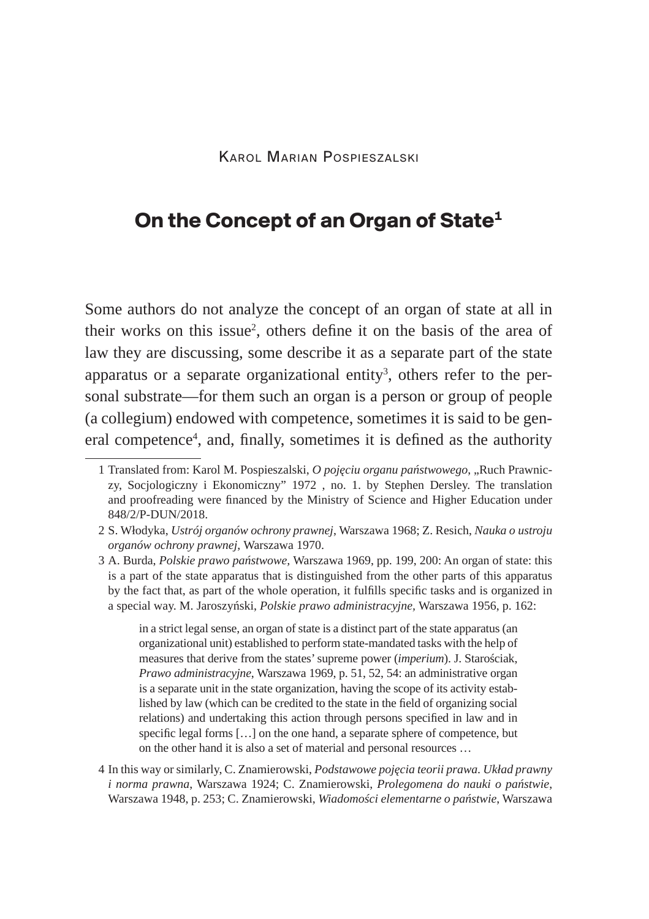# **On the Concept of an Organ of State1**

Some authors do not analyze the concept of an organ of state at all in their works on this issue<sup>2</sup>, others define it on the basis of the area of law they are discussing, some describe it as a separate part of the state apparatus or a separate organizational entity $^3$ , others refer to the personal substrate—for them such an organ is a person or group of people (a collegium) endowed with competence, sometimes it is said to be general competence<sup>4</sup>, and, finally, sometimes it is defined as the authority

in a strict legal sense, an organ of state is a distinct part of the state apparatus (an organizational unit) established to perform state-mandated tasks with the help of measures that derive from the states' supreme power (*imperium*). J. Starościak, *Prawo administracyjne*, Warszawa 1969, p. 51, 52, 54: an administrative organ is a separate unit in the state organization, having the scope of its activity established by law (which can be credited to the state in the field of organizing social relations) and undertaking this action through persons specified in law and in specific legal forms […] on the one hand, a separate sphere of competence, but on the other hand it is also a set of material and personal resources …

<sup>1</sup> Translated from: Karol M. Pospieszalski, *O pojęciu organu państwowego*, "Ruch Prawniczy, Socjologiczny i Ekonomiczny" 1972 , no. 1. by Stephen Dersley. The translation and proofreading were financed by the Ministry of Science and Higher Education under 848/2/P-DUN/2018.

<sup>2</sup> S. Włodyka, *Ustrój organów ochrony prawnej*, Warszawa 1968; Z. Resich, *Nauka o ustroju organów ochrony prawnej*, Warszawa 1970.

<sup>3</sup> A. Burda, *Polskie prawo państwowe,* Warszawa 1969, pp. 199, 200: An organ of state: this is a part of the state apparatus that is distinguished from the other parts of this apparatus by the fact that, as part of the whole operation, it fulfills specific tasks and is organized in a special way. M. Jaroszyński, *Polskie prawo administracyjne,* Warszawa 1956, p. 162:

<sup>4</sup> In this way or similarly, C. Znamierowski, *Podstawowe pojęcia teorii prawa. Układ prawny i norma prawna*, Warszawa 1924; C. Znamierowski, *Prolegomena do nauki o państwie*, Warszawa 1948, p. 253; C. Znamierowski, *Wiadomości elementarne o państwie*, Warszawa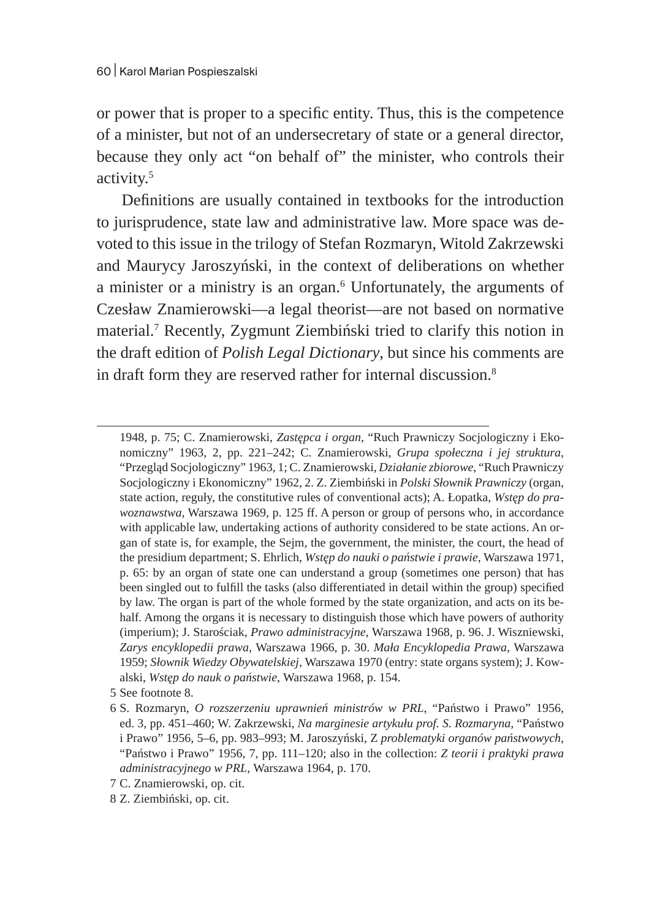or power that is proper to a specific entity. Thus, this is the competence of a minister, but not of an undersecretary of state or a general director, because they only act "on behalf of" the minister, who controls their activity.5

Definitions are usually contained in textbooks for the introduction to jurisprudence, state law and administrative law. More space was devoted to this issue in the trilogy of Stefan Rozmaryn, Witold Zakrzewski and Maurycy Jaroszyński, in the context of deliberations on whether a minister or a ministry is an organ.<sup>6</sup> Unfortunately, the arguments of Czesław Znamierowski—a legal theorist—are not based on normative material.7 Recently, Zygmunt Ziembiński tried to clarify this notion in the draft edition of *Polish Legal Dictionary*, but since his comments are in draft form they are reserved rather for internal discussion.<sup>8</sup>

1948, p. 75; C. Znamierowski, *Zastępca i organ*, "Ruch Prawniczy Socjologiczny i Ekonomiczny" 1963, 2, pp. 221–242; C. Znamierowski, *Grupa społeczna i jej struktura*, "Przegląd Socjologiczny" 1963, 1; C. Znamierowski, *Działanie zbiorowe*, "Ruch Prawniczy Socjologiczny i Ekonomiczny" 1962, 2. Z. Ziembiński in *Polski Słownik Prawniczy* (organ, state action, reguły, the constitutive rules of conventional acts); A. Łopatka, *Wstęp do prawoznawstwa*, Warszawa 1969, p. 125 ff. A person or group of persons who, in accordance with applicable law, undertaking actions of authority considered to be state actions. An organ of state is, for example, the Sejm, the government, the minister, the court, the head of the presidium department; S. Ehrlich, *Wstęp do nauki o państwie i prawie*, Warszawa 1971, p. 65: by an organ of state one can understand a group (sometimes one person) that has been singled out to fulfill the tasks (also differentiated in detail within the group) specified by law. The organ is part of the whole formed by the state organization, and acts on its behalf. Among the organs it is necessary to distinguish those which have powers of authority (imperium); J. Starościak, *Prawo administracyjne,* Warszawa 1968, p. 96. J. Wiszniewski, *Zarys encyklopedii prawa,* Warszawa 1966, p. 30. *Mała Encyklopedia Prawa*, Warszawa 1959; *Słownik Wiedzy Obywatelskiej,* Warszawa 1970 (entry: state organs system); J. Kowalski, *Wstęp do nauk o państwie*, Warszawa 1968, p. 154.

5 See footnote 8.

<sup>6</sup> S. Rozmaryn, *O rozszerzeniu uprawnień ministrów w PRL*, "Państwo i Prawo" 1956, ed. 3, pp. 451–460; W. Zakrzewski, *Na marginesie artykułu prof. S. Rozmaryna,* "Państwo i Prawo" 1956, 5–6, pp. 983–993; M. Jaroszyński, Z *problematyki organów państwowych*, "Państwo i Prawo" 1956, 7, pp. 111–120; also in the collection: *Z teorii i praktyki prawa administracyjnego w PRL*, Warszawa 1964, p. 170.

<sup>7</sup> C. Znamierowski, op. cit.

<sup>8</sup> Z. Ziembiński, op. cit.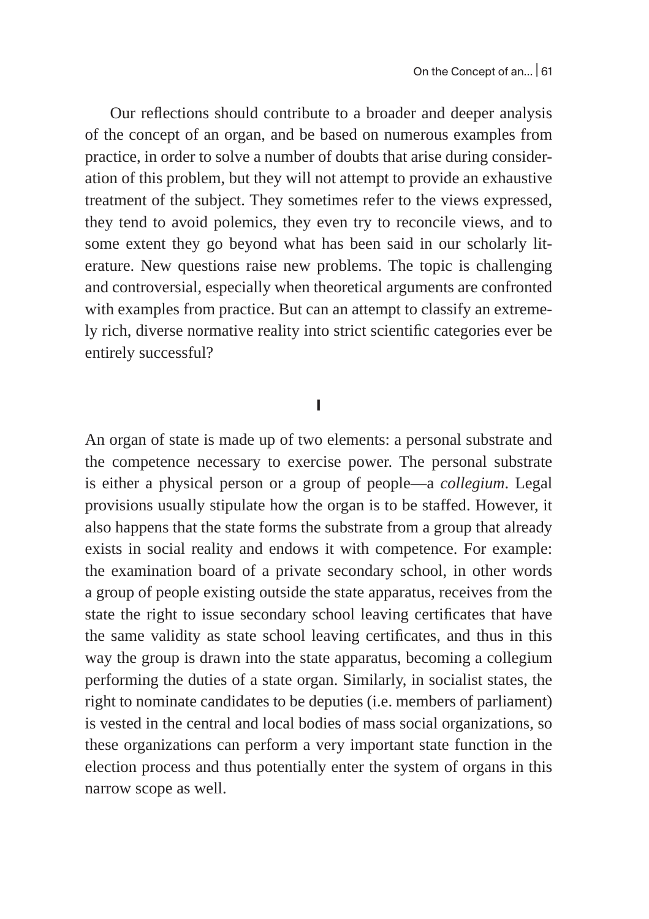Our reflections should contribute to a broader and deeper analysis of the concept of an organ, and be based on numerous examples from practice, in order to solve a number of doubts that arise during consideration of this problem, but they will not attempt to provide an exhaustive treatment of the subject. They sometimes refer to the views expressed, they tend to avoid polemics, they even try to reconcile views, and to some extent they go beyond what has been said in our scholarly literature. New questions raise new problems. The topic is challenging and controversial, especially when theoretical arguments are confronted with examples from practice. But can an attempt to classify an extremely rich, diverse normative reality into strict scientific categories ever be entirely successful?

### **I**

An organ of state is made up of two elements: a personal substrate and the competence necessary to exercise power. The personal substrate is either a physical person or a group of people—a *collegium*. Legal provisions usually stipulate how the organ is to be staffed. However, it also happens that the state forms the substrate from a group that already exists in social reality and endows it with competence. For example: the examination board of a private secondary school, in other words a group of people existing outside the state apparatus, receives from the state the right to issue secondary school leaving certificates that have the same validity as state school leaving certificates, and thus in this way the group is drawn into the state apparatus, becoming a collegium performing the duties of a state organ. Similarly, in socialist states, the right to nominate candidates to be deputies (i.e. members of parliament) is vested in the central and local bodies of mass social organizations, so these organizations can perform a very important state function in the election process and thus potentially enter the system of organs in this narrow scope as well.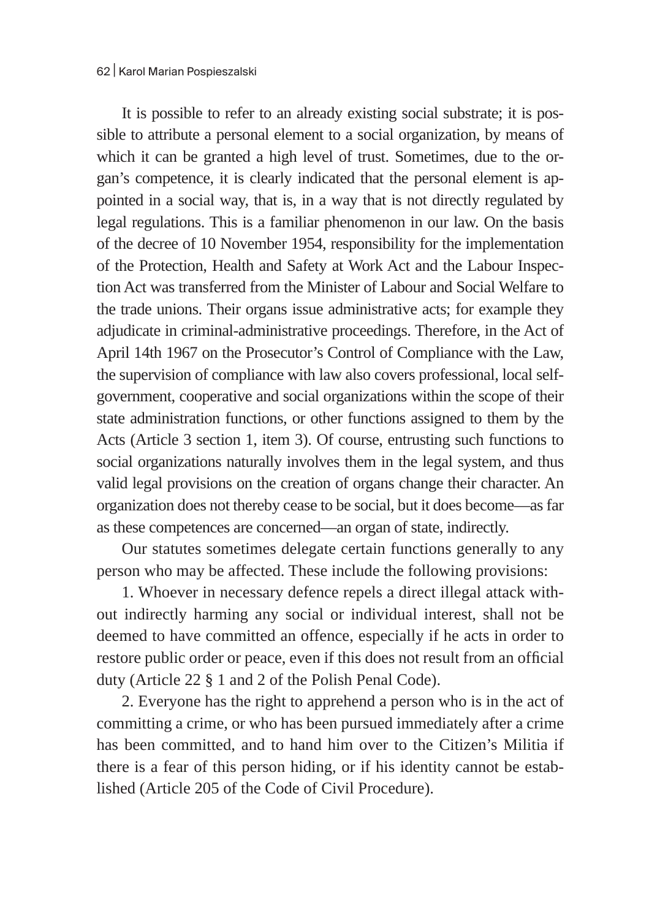It is possible to refer to an already existing social substrate; it is possible to attribute a personal element to a social organization, by means of which it can be granted a high level of trust. Sometimes, due to the organ's competence, it is clearly indicated that the personal element is appointed in a social way, that is, in a way that is not directly regulated by legal regulations. This is a familiar phenomenon in our law. On the basis of the decree of 10 November 1954, responsibility for the implementation of the Protection, Health and Safety at Work Act and the Labour Inspection Act was transferred from the Minister of Labour and Social Welfare to the trade unions. Their organs issue administrative acts; for example they adjudicate in criminal-administrative proceedings. Therefore, in the Act of April 14th 1967 on the Prosecutor's Control of Compliance with the Law, the supervision of compliance with law also covers professional, local selfgovernment, cooperative and social organizations within the scope of their state administration functions, or other functions assigned to them by the Acts (Article 3 section 1, item 3). Of course, entrusting such functions to social organizations naturally involves them in the legal system, and thus valid legal provisions on the creation of organs change their character. An organization does not thereby cease to be social, but it does become—as far as these competences are concerned—an organ of state, indirectly.

Our statutes sometimes delegate certain functions generally to any person who may be affected. These include the following provisions:

1. Whoever in necessary defence repels a direct illegal attack without indirectly harming any social or individual interest, shall not be deemed to have committed an offence, especially if he acts in order to restore public order or peace, even if this does not result from an official duty (Article 22 § 1 and 2 of the Polish Penal Code).

2. Everyone has the right to apprehend a person who is in the act of committing a crime, or who has been pursued immediately after a crime has been committed, and to hand him over to the Citizen's Militia if there is a fear of this person hiding, or if his identity cannot be established (Article 205 of the Code of Civil Procedure).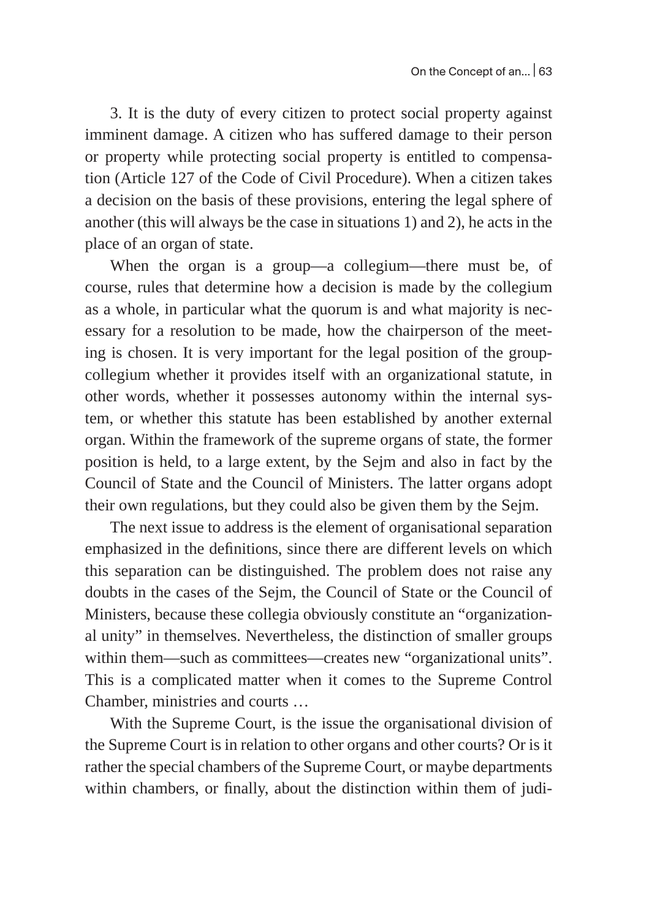3. It is the duty of every citizen to protect social property against imminent damage. A citizen who has suffered damage to their person or property while protecting social property is entitled to compensation (Article 127 of the Code of Civil Procedure). When a citizen takes a decision on the basis of these provisions, entering the legal sphere of another (this will always be the case in situations 1) and 2), he acts in the place of an organ of state.

When the organ is a group—a collegium—there must be, of course, rules that determine how a decision is made by the collegium as a whole, in particular what the quorum is and what majority is necessary for a resolution to be made, how the chairperson of the meeting is chosen. It is very important for the legal position of the groupcollegium whether it provides itself with an organizational statute, in other words, whether it possesses autonomy within the internal system, or whether this statute has been established by another external organ. Within the framework of the supreme organs of state, the former position is held, to a large extent, by the Sejm and also in fact by the Council of State and the Council of Ministers. The latter organs adopt their own regulations, but they could also be given them by the Sejm.

The next issue to address is the element of organisational separation emphasized in the definitions, since there are different levels on which this separation can be distinguished. The problem does not raise any doubts in the cases of the Sejm, the Council of State or the Council of Ministers, because these collegia obviously constitute an "organizational unity" in themselves. Nevertheless, the distinction of smaller groups within them—such as committees—creates new "organizational units". This is a complicated matter when it comes to the Supreme Control Chamber, ministries and courts …

With the Supreme Court, is the issue the organisational division of the Supreme Court is in relation to other organs and other courts? Or is it rather the special chambers of the Supreme Court, or maybe departments within chambers, or finally, about the distinction within them of judi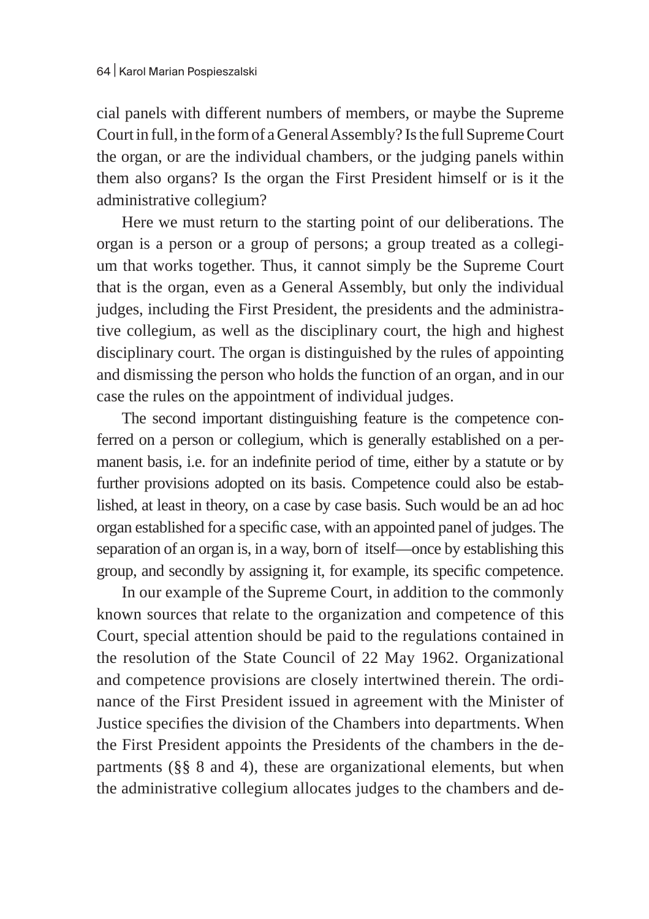cial panels with different numbers of members, or maybe the Supreme Court in full, in the form of aGeneral Assembly? Is the full SupremeCourt the organ, or are the individual chambers, or the judging panels within them also organs? Is the organ the First President himself or is it the administrative collegium?

Here we must return to the starting point of our deliberations. The organ is a person or a group of persons; a group treated as a collegium that works together. Thus, it cannot simply be the Supreme Court that is the organ, even as a General Assembly, but only the individual judges, including the First President, the presidents and the administrative collegium, as well as the disciplinary court, the high and highest disciplinary court. The organ is distinguished by the rules of appointing and dismissing the person who holds the function of an organ, and in our case the rules on the appointment of individual judges.

The second important distinguishing feature is the competence conferred on a person or collegium, which is generally established on a permanent basis, i.e. for an indefinite period of time, either by a statute or by further provisions adopted on its basis. Competence could also be established, at least in theory, on a case by case basis. Such would be an ad hoc organ established for a specific case, with an appointed panel of judges. The separation of an organ is, in a way, born of itself—once by establishing this group, and secondly by assigning it, for example, its specific competence.

In our example of the Supreme Court, in addition to the commonly known sources that relate to the organization and competence of this Court, special attention should be paid to the regulations contained in the resolution of the State Council of 22 May 1962. Organizational and competence provisions are closely intertwined therein. The ordinance of the First President issued in agreement with the Minister of Justice specifies the division of the Chambers into departments. When the First President appoints the Presidents of the chambers in the departments (§§ 8 and 4), these are organizational elements, but when the administrative collegium allocates judges to the chambers and de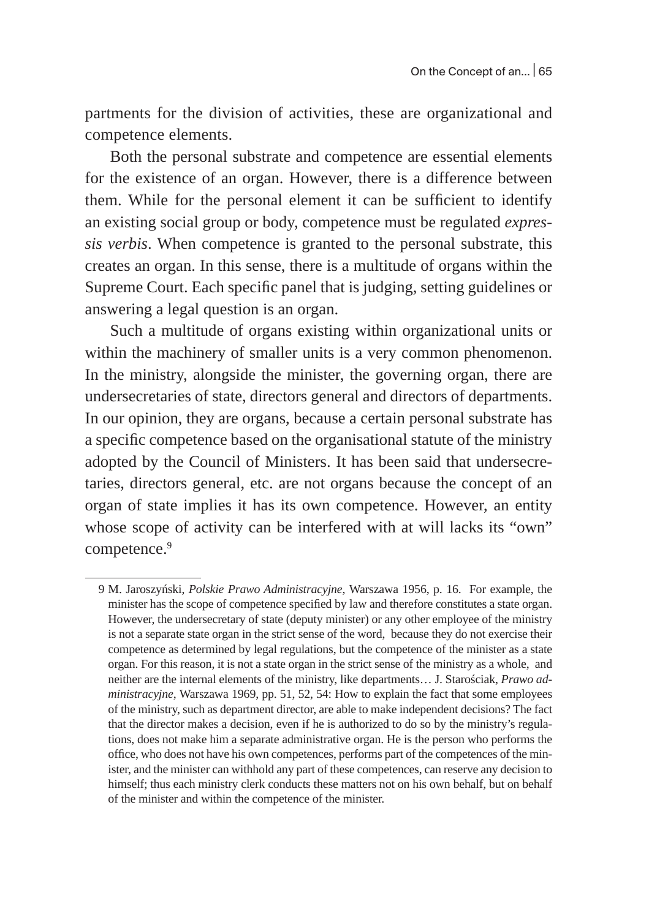partments for the division of activities, these are organizational and competence elements.

Both the personal substrate and competence are essential elements for the existence of an organ. However, there is a difference between them. While for the personal element it can be sufficient to identify an existing social group or body, competence must be regulated *expressis verbis*. When competence is granted to the personal substrate, this creates an organ. In this sense, there is a multitude of organs within the Supreme Court. Each specific panel that is judging, setting guidelines or answering a legal question is an organ.

Such a multitude of organs existing within organizational units or within the machinery of smaller units is a very common phenomenon. In the ministry, alongside the minister, the governing organ, there are undersecretaries of state, directors general and directors of departments. In our opinion, they are organs, because a certain personal substrate has a specific competence based on the organisational statute of the ministry adopted by the Council of Ministers. It has been said that undersecretaries, directors general, etc. are not organs because the concept of an organ of state implies it has its own competence. However, an entity whose scope of activity can be interfered with at will lacks its "own" competence.<sup>9</sup>

<sup>9</sup> M. Jaroszyński, *Polskie Prawo Administracyjne*, Warszawa 1956, p. 16. For example, the minister has the scope of competence specified by law and therefore constitutes a state organ. However, the undersecretary of state (deputy minister) or any other employee of the ministry is not a separate state organ in the strict sense of the word, because they do not exercise their competence as determined by legal regulations, but the competence of the minister as a state organ. For this reason, it is not a state organ in the strict sense of the ministry as a whole, and neither are the internal elements of the ministry, like departments… J. Starościak, *Prawo administracyjne*, Warszawa 1969, pp. 51, 52, 54: How to explain the fact that some employees of the ministry, such as department director, are able to make independent decisions? The fact that the director makes a decision, even if he is authorized to do so by the ministry's regulations, does not make him a separate administrative organ. He is the person who performs the office, who does not have his own competences, performs part of the competences of the minister, and the minister can withhold any part of these competences, can reserve any decision to himself; thus each ministry clerk conducts these matters not on his own behalf, but on behalf of the minister and within the competence of the minister.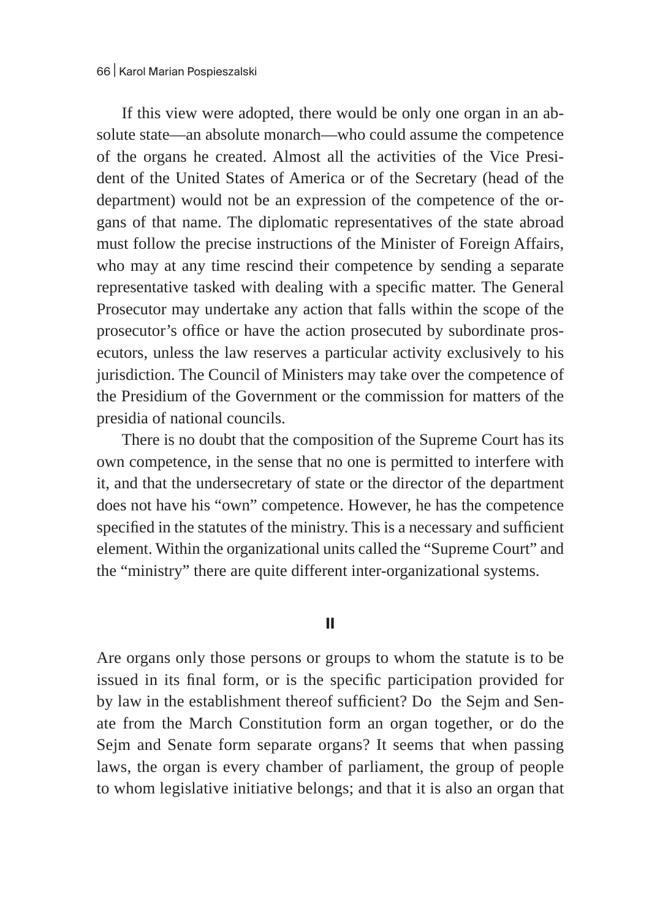If this view were adopted, there would be only one organ in an absolute state—an absolute monarch—who could assume the competence of the organs he created. Almost all the activities of the Vice President of the United States of America or of the Secretary (head of the department) would not be an expression of the competence of the organs of that name. The diplomatic representatives of the state abroad must follow the precise instructions of the Minister of Foreign Affairs, who may at any time rescind their competence by sending a separate representative tasked with dealing with a specific matter. The General Prosecutor may undertake any action that falls within the scope of the prosecutor's office or have the action prosecuted by subordinate prosecutors, unless the law reserves a particular activity exclusively to his jurisdiction. The Council of Ministers may take over the competence of the Presidium of the Government or the commission for matters of the presidia of national councils.

There is no doubt that the composition of the Supreme Court has its own competence, in the sense that no one is permitted to interfere with it, and that the undersecretary of state or the director of the department does not have his "own" competence. However, he has the competence specified in the statutes of the ministry. This is a necessary and sufficient element. Within the organizational units called the "Supreme Court" and the "ministry" there are quite different inter-organizational systems.

#### **II**

Are organs only those persons or groups to whom the statute is to be issued in its final form, or is the specific participation provided for by law in the establishment thereof sufficient? Do the Sejm and Senate from the March Constitution form an organ together, or do the Sejm and Senate form separate organs? It seems that when passing laws, the organ is every chamber of parliament, the group of people to whom legislative initiative belongs; and that it is also an organ that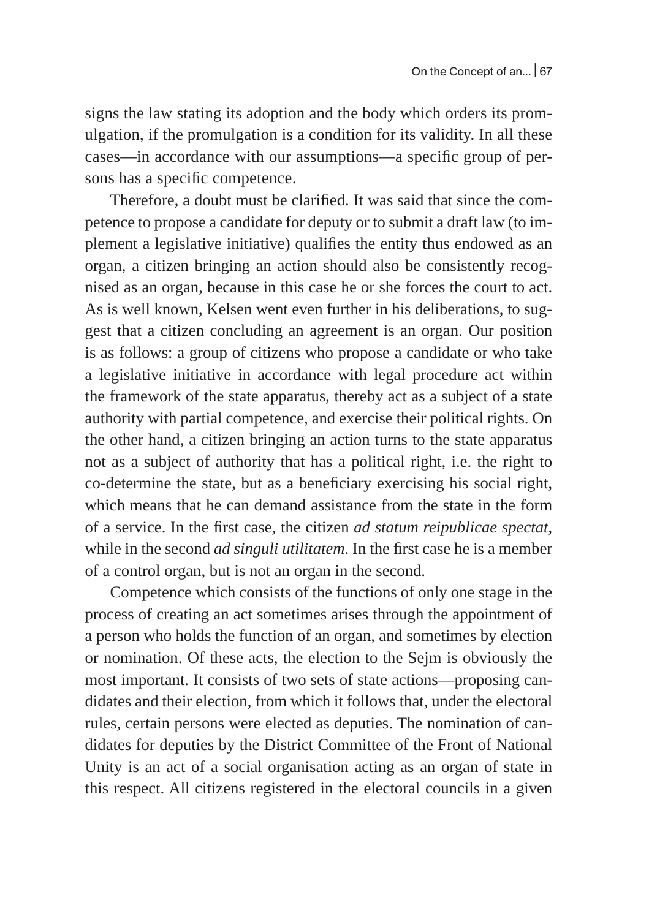signs the law stating its adoption and the body which orders its promulgation, if the promulgation is a condition for its validity. In all these cases—in accordance with our assumptions—a specific group of persons has a specific competence.

Therefore, a doubt must be clarified. It was said that since the competence to propose a candidate for deputy or to submit a draft law (to implement a legislative initiative) qualifies the entity thus endowed as an organ, a citizen bringing an action should also be consistently recognised as an organ, because in this case he or she forces the court to act. As is well known, Kelsen went even further in his deliberations, to suggest that a citizen concluding an agreement is an organ. Our position is as follows: a group of citizens who propose a candidate or who take a legislative initiative in accordance with legal procedure act within the framework of the state apparatus, thereby act as a subject of a state authority with partial competence, and exercise their political rights. On the other hand, a citizen bringing an action turns to the state apparatus not as a subject of authority that has a political right, i.e. the right to co-determine the state, but as a beneficiary exercising his social right, which means that he can demand assistance from the state in the form of a service. In the first case, the citizen *ad statum reipublicae spectat*, while in the second *ad singuli utilitatem*. In the first case he is a member of a control organ, but is not an organ in the second.

Competence which consists of the functions of only one stage in the process of creating an act sometimes arises through the appointment of a person who holds the function of an organ, and sometimes by election or nomination. Of these acts, the election to the Sejm is obviously the most important. It consists of two sets of state actions—proposing candidates and their election, from which it follows that, under the electoral rules, certain persons were elected as deputies. The nomination of candidates for deputies by the District Committee of the Front of National Unity is an act of a social organisation acting as an organ of state in this respect. All citizens registered in the electoral councils in a given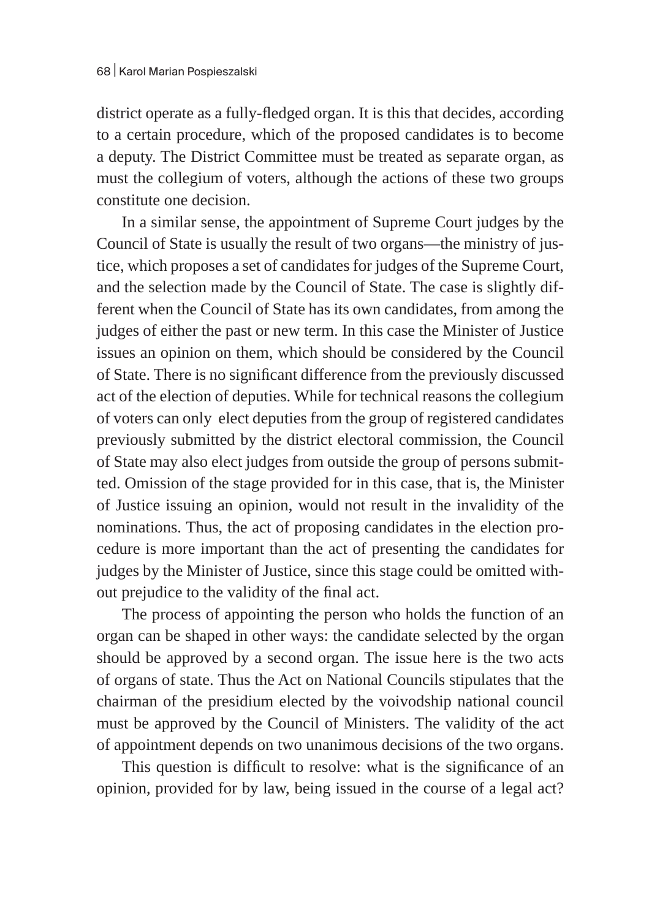district operate as a fully-fledged organ. It is this that decides, according to a certain procedure, which of the proposed candidates is to become a deputy. The District Committee must be treated as separate organ, as must the collegium of voters, although the actions of these two groups constitute one decision.

In a similar sense, the appointment of Supreme Court judges by the Council of State is usually the result of two organs—the ministry of justice, which proposes a set of candidates for judges of the Supreme Court, and the selection made by the Council of State. The case is slightly different when the Council of State has its own candidates, from among the judges of either the past or new term. In this case the Minister of Justice issues an opinion on them, which should be considered by the Council of State. There is no significant difference from the previously discussed act of the election of deputies. While for technical reasons the collegium of voters can only elect deputies from the group of registered candidates previously submitted by the district electoral commission, the Council of State may also elect judges from outside the group of persons submitted. Omission of the stage provided for in this case, that is, the Minister of Justice issuing an opinion, would not result in the invalidity of the nominations. Thus, the act of proposing candidates in the election procedure is more important than the act of presenting the candidates for judges by the Minister of Justice, since this stage could be omitted without prejudice to the validity of the final act.

The process of appointing the person who holds the function of an organ can be shaped in other ways: the candidate selected by the organ should be approved by a second organ. The issue here is the two acts of organs of state. Thus the Act on National Councils stipulates that the chairman of the presidium elected by the voivodship national council must be approved by the Council of Ministers. The validity of the act of appointment depends on two unanimous decisions of the two organs.

This question is difficult to resolve: what is the significance of an opinion, provided for by law, being issued in the course of a legal act?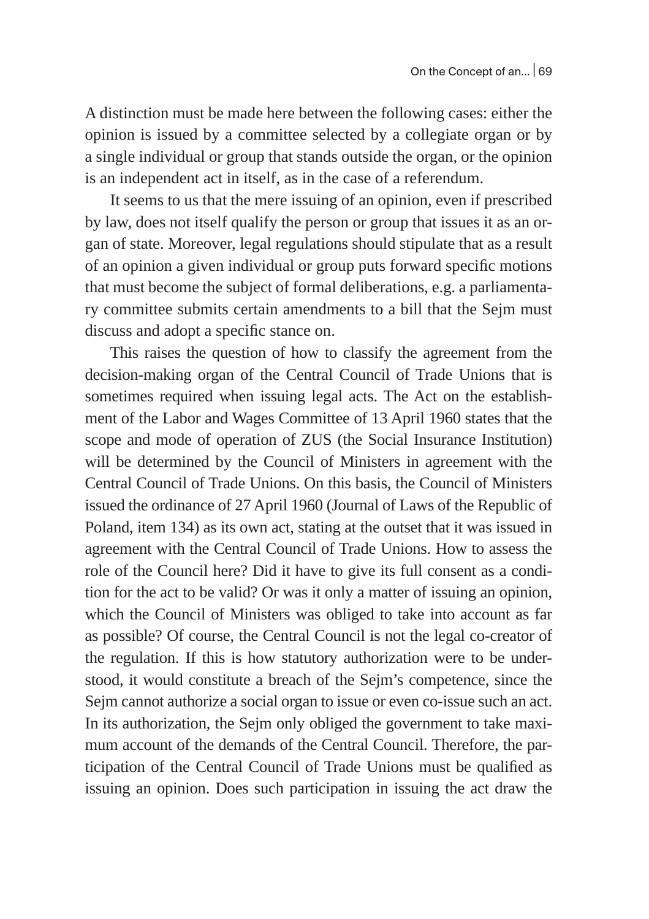A distinction must be made here between the following cases: either the opinion is issued by a committee selected by a collegiate organ or by a single individual or group that stands outside the organ, or the opinion is an independent act in itself, as in the case of a referendum.

It seems to us that the mere issuing of an opinion, even if prescribed by law, does not itself qualify the person or group that issues it as an organ of state. Moreover, legal regulations should stipulate that as a result of an opinion a given individual or group puts forward specific motions that must become the subject of formal deliberations, e.g. a parliamentary committee submits certain amendments to a bill that the Sejm must discuss and adopt a specific stance on.

This raises the question of how to classify the agreement from the decision-making organ of the Central Council of Trade Unions that is sometimes required when issuing legal acts. The Act on the establishment of the Labor and Wages Committee of 13 April 1960 states that the scope and mode of operation of ZUS (the Social Insurance Institution) will be determined by the Council of Ministers in agreement with the Central Council of Trade Unions. On this basis, the Council of Ministers issued the ordinance of 27 April 1960 (Journal of Laws of the Republic of Poland, item 134) as its own act, stating at the outset that it was issued in agreement with the Central Council of Trade Unions. How to assess the role of the Council here? Did it have to give its full consent as a condition for the act to be valid? Or was it only a matter of issuing an opinion, which the Council of Ministers was obliged to take into account as far as possible? Of course, the Central Council is not the legal co-creator of the regulation. If this is how statutory authorization were to be understood, it would constitute a breach of the Sejm's competence, since the Sejm cannot authorize a social organ to issue or even co-issue such an act. In its authorization, the Sejm only obliged the government to take maximum account of the demands of the Central Council. Therefore, the participation of the Central Council of Trade Unions must be qualified as issuing an opinion. Does such participation in issuing the act draw the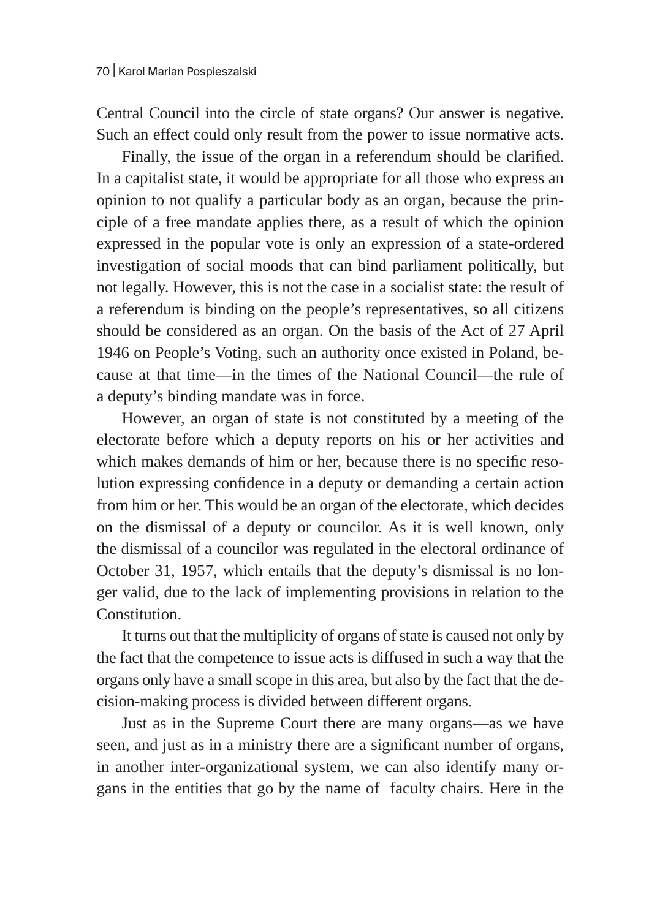Central Council into the circle of state organs? Our answer is negative. Such an effect could only result from the power to issue normative acts.

Finally, the issue of the organ in a referendum should be clarified. In a capitalist state, it would be appropriate for all those who express an opinion to not qualify a particular body as an organ, because the principle of a free mandate applies there, as a result of which the opinion expressed in the popular vote is only an expression of a state-ordered investigation of social moods that can bind parliament politically, but not legally. However, this is not the case in a socialist state: the result of a referendum is binding on the people's representatives, so all citizens should be considered as an organ. On the basis of the Act of 27 April 1946 on People's Voting, such an authority once existed in Poland, because at that time—in the times of the National Council—the rule of a deputy's binding mandate was in force.

However, an organ of state is not constituted by a meeting of the electorate before which a deputy reports on his or her activities and which makes demands of him or her, because there is no specific resolution expressing confidence in a deputy or demanding a certain action from him or her. This would be an organ of the electorate, which decides on the dismissal of a deputy or councilor. As it is well known, only the dismissal of a councilor was regulated in the electoral ordinance of October 31, 1957, which entails that the deputy's dismissal is no longer valid, due to the lack of implementing provisions in relation to the Constitution.

It turns out that the multiplicity of organs of state is caused not only by the fact that the competence to issue acts is diffused in such a way that the organs only have a small scope in this area, but also by the fact that the decision-making process is divided between different organs.

Just as in the Supreme Court there are many organs—as we have seen, and just as in a ministry there are a significant number of organs, in another inter-organizational system, we can also identify many organs in the entities that go by the name of faculty chairs. Here in the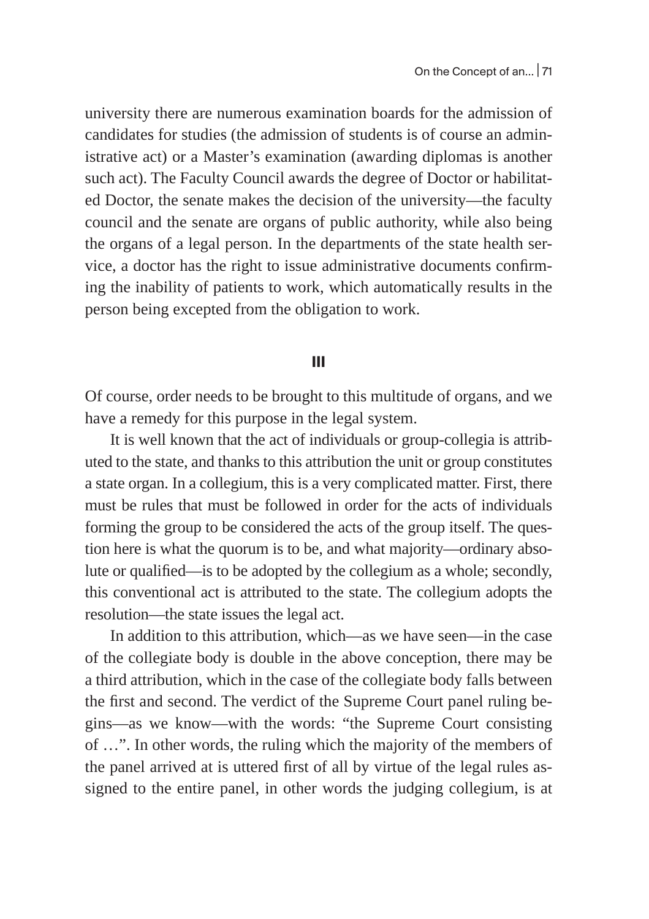university there are numerous examination boards for the admission of candidates for studies (the admission of students is of course an administrative act) or a Master's examination (awarding diplomas is another such act). The Faculty Council awards the degree of Doctor or habilitated Doctor, the senate makes the decision of the university—the faculty council and the senate are organs of public authority, while also being the organs of a legal person. In the departments of the state health service, a doctor has the right to issue administrative documents confirming the inability of patients to work, which automatically results in the person being excepted from the obligation to work.

## **III**

Of course, order needs to be brought to this multitude of organs, and we have a remedy for this purpose in the legal system.

It is well known that the act of individuals or group-collegia is attributed to the state, and thanks to this attribution the unit or group constitutes a state organ. In a collegium, this is a very complicated matter. First, there must be rules that must be followed in order for the acts of individuals forming the group to be considered the acts of the group itself. The question here is what the quorum is to be, and what majority—ordinary absolute or qualified—is to be adopted by the collegium as a whole; secondly, this conventional act is attributed to the state. The collegium adopts the resolution—the state issues the legal act.

In addition to this attribution, which—as we have seen—in the case of the collegiate body is double in the above conception, there may be a third attribution, which in the case of the collegiate body falls between the first and second. The verdict of the Supreme Court panel ruling begins—as we know—with the words: "the Supreme Court consisting of …". In other words, the ruling which the majority of the members of the panel arrived at is uttered first of all by virtue of the legal rules assigned to the entire panel, in other words the judging collegium, is at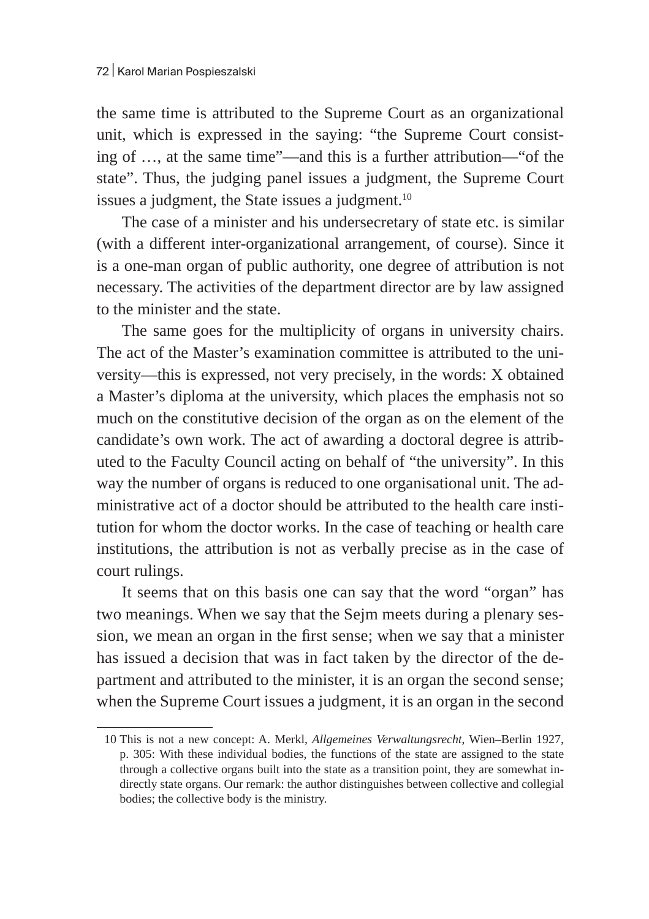the same time is attributed to the Supreme Court as an organizational unit, which is expressed in the saying: "the Supreme Court consisting of …, at the same time"—and this is a further attribution—"of the state". Thus, the judging panel issues a judgment, the Supreme Court issues a judgment, the State issues a judgment. $10$ 

The case of a minister and his undersecretary of state etc. is similar (with a different inter-organizational arrangement, of course). Since it is a one-man organ of public authority, one degree of attribution is not necessary. The activities of the department director are by law assigned to the minister and the state.

The same goes for the multiplicity of organs in university chairs. The act of the Master's examination committee is attributed to the university—this is expressed, not very precisely, in the words: X obtained a Master's diploma at the university, which places the emphasis not so much on the constitutive decision of the organ as on the element of the candidate's own work. The act of awarding a doctoral degree is attributed to the Faculty Council acting on behalf of "the university". In this way the number of organs is reduced to one organisational unit. The administrative act of a doctor should be attributed to the health care institution for whom the doctor works. In the case of teaching or health care institutions, the attribution is not as verbally precise as in the case of court rulings.

It seems that on this basis one can say that the word "organ" has two meanings. When we say that the Sejm meets during a plenary session, we mean an organ in the first sense; when we say that a minister has issued a decision that was in fact taken by the director of the department and attributed to the minister, it is an organ the second sense; when the Supreme Court issues a judgment, it is an organ in the second

<sup>10</sup> This is not a new concept: A. Merkl, *Allgemeines Verwaltungsrecht*, Wien–Berlin 1927, p. 305: With these individual bodies, the functions of the state are assigned to the state through a collective organs built into the state as a transition point, they are somewhat indirectly state organs. Our remark: the author distinguishes between collective and collegial bodies; the collective body is the ministry.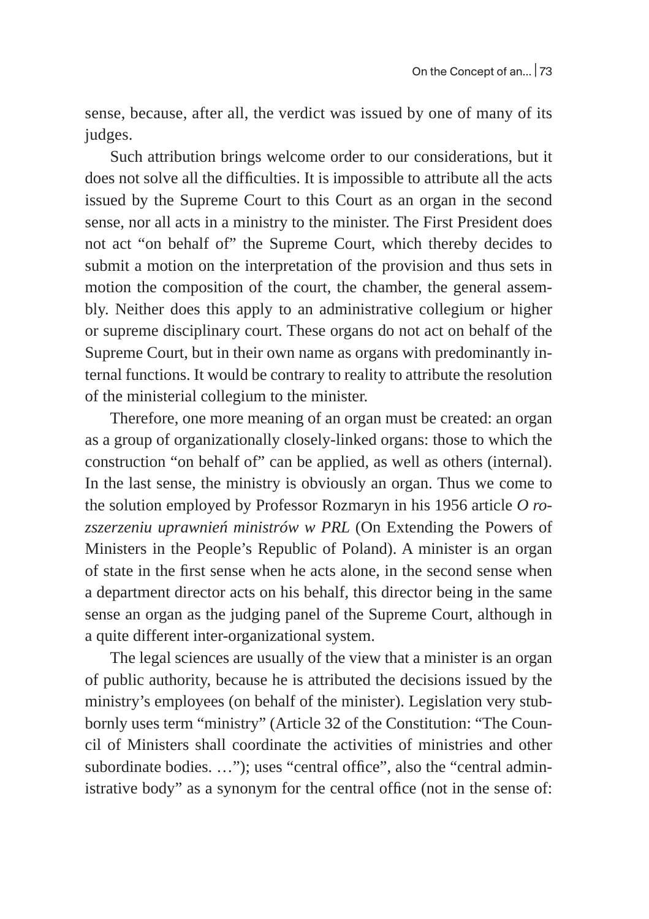sense, because, after all, the verdict was issued by one of many of its judges.

Such attribution brings welcome order to our considerations, but it does not solve all the difficulties. It is impossible to attribute all the acts issued by the Supreme Court to this Court as an organ in the second sense, nor all acts in a ministry to the minister. The First President does not act "on behalf of" the Supreme Court, which thereby decides to submit a motion on the interpretation of the provision and thus sets in motion the composition of the court, the chamber, the general assembly. Neither does this apply to an administrative collegium or higher or supreme disciplinary court. These organs do not act on behalf of the Supreme Court, but in their own name as organs with predominantly internal functions. It would be contrary to reality to attribute the resolution of the ministerial collegium to the minister.

Therefore, one more meaning of an organ must be created: an organ as a group of organizationally closely-linked organs: those to which the construction "on behalf of" can be applied, as well as others (internal). In the last sense, the ministry is obviously an organ. Thus we come to the solution employed by Professor Rozmaryn in his 1956 article *O rozszerzeniu uprawnień ministrów w PRL* (On Extending the Powers of Ministers in the People's Republic of Poland). A minister is an organ of state in the first sense when he acts alone, in the second sense when a department director acts on his behalf, this director being in the same sense an organ as the judging panel of the Supreme Court, although in a quite different inter-organizational system.

The legal sciences are usually of the view that a minister is an organ of public authority, because he is attributed the decisions issued by the ministry's employees (on behalf of the minister). Legislation very stubbornly uses term "ministry" (Article 32 of the Constitution: "The Council of Ministers shall coordinate the activities of ministries and other subordinate bodies. ..."); uses "central office", also the "central administrative body" as a synonym for the central office (not in the sense of: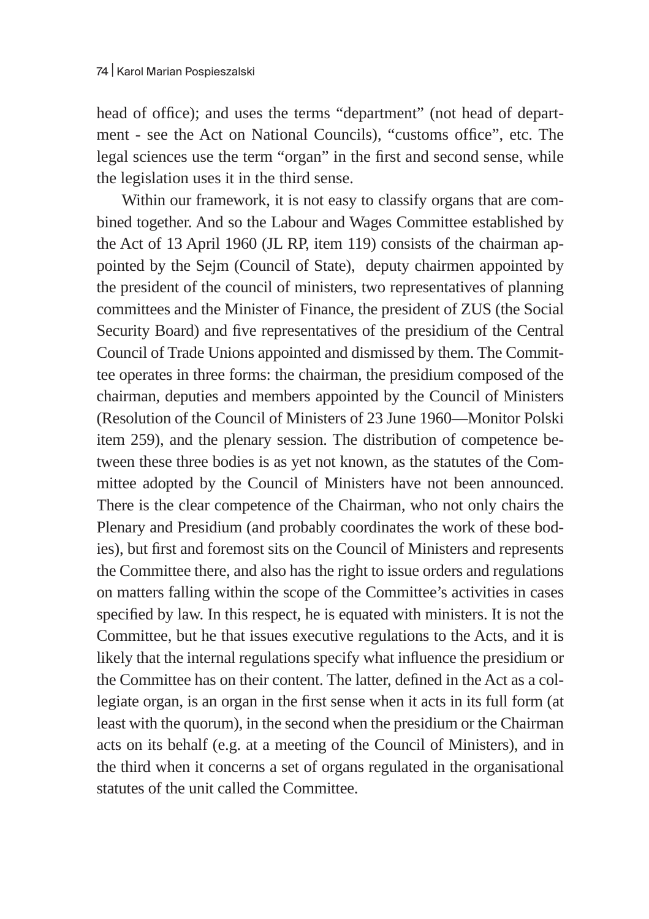head of office); and uses the terms "department" (not head of department - see the Act on National Councils), "customs office", etc. The legal sciences use the term "organ" in the first and second sense, while the legislation uses it in the third sense.

Within our framework, it is not easy to classify organs that are combined together. And so the Labour and Wages Committee established by the Act of 13 April 1960 (JL RP, item 119) consists of the chairman appointed by the Sejm (Council of State), deputy chairmen appointed by the president of the council of ministers, two representatives of planning committees and the Minister of Finance, the president of ZUS (the Social Security Board) and five representatives of the presidium of the Central Council of Trade Unions appointed and dismissed by them. The Committee operates in three forms: the chairman, the presidium composed of the chairman, deputies and members appointed by the Council of Ministers (Resolution of the Council of Ministers of 23 June 1960—Monitor Polski item 259), and the plenary session. The distribution of competence between these three bodies is as yet not known, as the statutes of the Committee adopted by the Council of Ministers have not been announced. There is the clear competence of the Chairman, who not only chairs the Plenary and Presidium (and probably coordinates the work of these bodies), but first and foremost sits on the Council of Ministers and represents the Committee there, and also has the right to issue orders and regulations on matters falling within the scope of the Committee's activities in cases specified by law. In this respect, he is equated with ministers. It is not the Committee, but he that issues executive regulations to the Acts, and it is likely that the internal regulations specify what influence the presidium or the Committee has on their content. The latter, defined in the Act as a collegiate organ, is an organ in the first sense when it acts in its full form (at least with the quorum), in the second when the presidium or the Chairman acts on its behalf (e.g. at a meeting of the Council of Ministers), and in the third when it concerns a set of organs regulated in the organisational statutes of the unit called the Committee.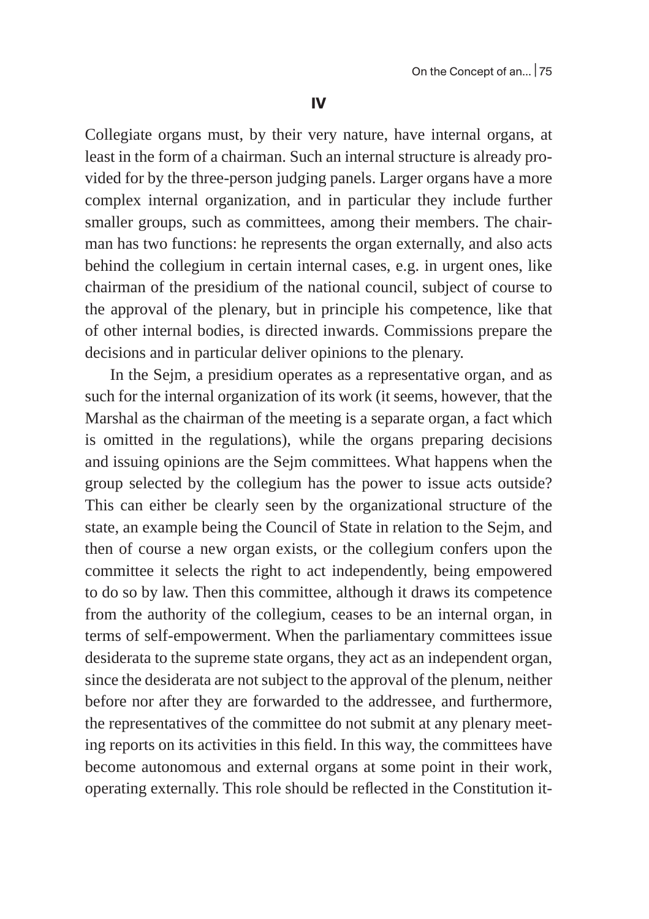Collegiate organs must, by their very nature, have internal organs, at least in the form of a chairman. Such an internal structure is already provided for by the three-person judging panels. Larger organs have a more complex internal organization, and in particular they include further smaller groups, such as committees, among their members. The chairman has two functions: he represents the organ externally, and also acts behind the collegium in certain internal cases, e.g. in urgent ones, like chairman of the presidium of the national council, subject of course to the approval of the plenary, but in principle his competence, like that of other internal bodies, is directed inwards. Commissions prepare the decisions and in particular deliver opinions to the plenary.

In the Sejm, a presidium operates as a representative organ, and as such for the internal organization of its work (it seems, however, that the Marshal as the chairman of the meeting is a separate organ, a fact which is omitted in the regulations), while the organs preparing decisions and issuing opinions are the Sejm committees. What happens when the group selected by the collegium has the power to issue acts outside? This can either be clearly seen by the organizational structure of the state, an example being the Council of State in relation to the Sejm, and then of course a new organ exists, or the collegium confers upon the committee it selects the right to act independently, being empowered to do so by law. Then this committee, although it draws its competence from the authority of the collegium, ceases to be an internal organ, in terms of self-empowerment. When the parliamentary committees issue desiderata to the supreme state organs, they act as an independent organ, since the desiderata are not subject to the approval of the plenum, neither before nor after they are forwarded to the addressee, and furthermore, the representatives of the committee do not submit at any plenary meeting reports on its activities in this field. In this way, the committees have become autonomous and external organs at some point in their work, operating externally. This role should be reflected in the Constitution it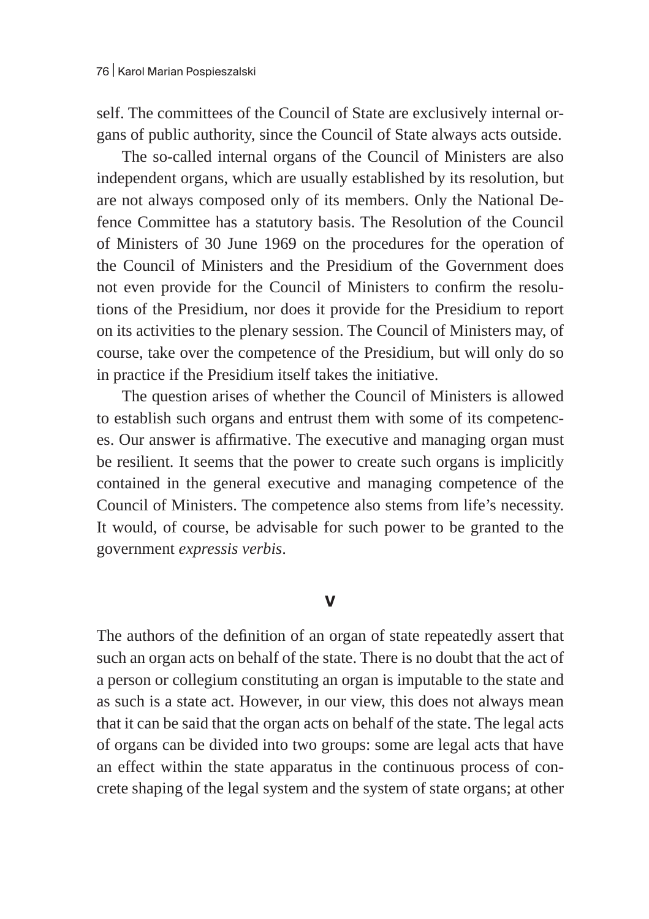self. The committees of the Council of State are exclusively internal organs of public authority, since the Council of State always acts outside.

The so-called internal organs of the Council of Ministers are also independent organs, which are usually established by its resolution, but are not always composed only of its members. Only the National Defence Committee has a statutory basis. The Resolution of the Council of Ministers of 30 June 1969 on the procedures for the operation of the Council of Ministers and the Presidium of the Government does not even provide for the Council of Ministers to confirm the resolutions of the Presidium, nor does it provide for the Presidium to report on its activities to the plenary session. The Council of Ministers may, of course, take over the competence of the Presidium, but will only do so in practice if the Presidium itself takes the initiative.

The question arises of whether the Council of Ministers is allowed to establish such organs and entrust them with some of its competences. Our answer is affirmative. The executive and managing organ must be resilient. It seems that the power to create such organs is implicitly contained in the general executive and managing competence of the Council of Ministers. The competence also stems from life's necessity. It would, of course, be advisable for such power to be granted to the government *expressis verbis*.

## **V**

The authors of the definition of an organ of state repeatedly assert that such an organ acts on behalf of the state. There is no doubt that the act of a person or collegium constituting an organ is imputable to the state and as such is a state act. However, in our view, this does not always mean that it can be said that the organ acts on behalf of the state. The legal acts of organs can be divided into two groups: some are legal acts that have an effect within the state apparatus in the continuous process of concrete shaping of the legal system and the system of state organs; at other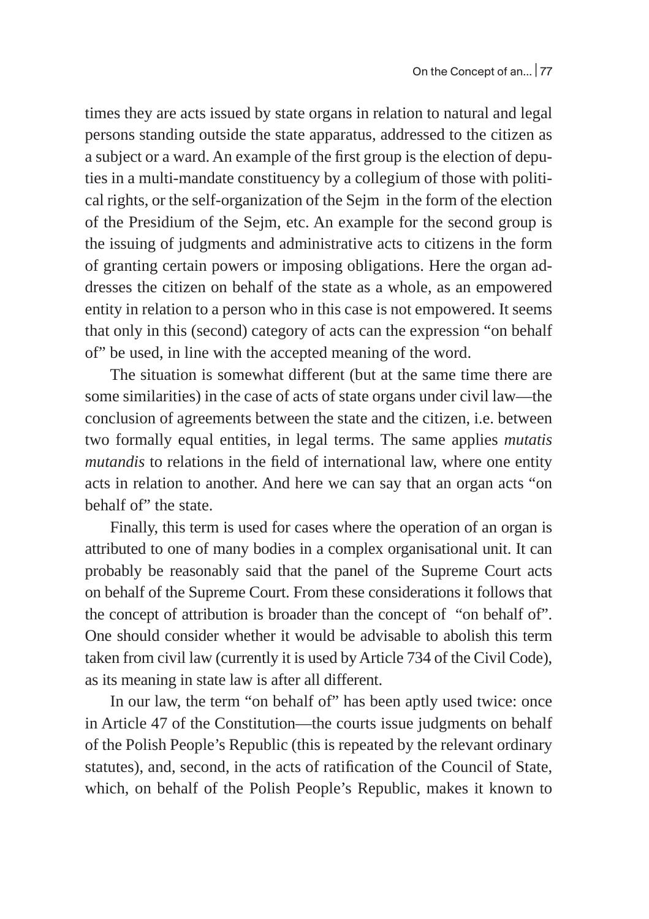times they are acts issued by state organs in relation to natural and legal persons standing outside the state apparatus, addressed to the citizen as a subject or a ward. An example of the first group is the election of deputies in a multi-mandate constituency by a collegium of those with political rights, or the self-organization of the Sejm in the form of the election of the Presidium of the Sejm, etc. An example for the second group is the issuing of judgments and administrative acts to citizens in the form of granting certain powers or imposing obligations. Here the organ addresses the citizen on behalf of the state as a whole, as an empowered entity in relation to a person who in this case is not empowered. It seems that only in this (second) category of acts can the expression "on behalf of" be used, in line with the accepted meaning of the word.

The situation is somewhat different (but at the same time there are some similarities) in the case of acts of state organs under civil law—the conclusion of agreements between the state and the citizen, i.e. between two formally equal entities, in legal terms. The same applies *mutatis mutandis* to relations in the field of international law, where one entity acts in relation to another. And here we can say that an organ acts "on behalf of" the state.

Finally, this term is used for cases where the operation of an organ is attributed to one of many bodies in a complex organisational unit. It can probably be reasonably said that the panel of the Supreme Court acts on behalf of the Supreme Court. From these considerations it follows that the concept of attribution is broader than the concept of "on behalf of". One should consider whether it would be advisable to abolish this term taken from civil law (currently it is used by Article 734 of the Civil Code), as its meaning in state law is after all different.

In our law, the term "on behalf of" has been aptly used twice: once in Article 47 of the Constitution—the courts issue judgments on behalf of the Polish People's Republic (this is repeated by the relevant ordinary statutes), and, second, in the acts of ratification of the Council of State, which, on behalf of the Polish People's Republic, makes it known to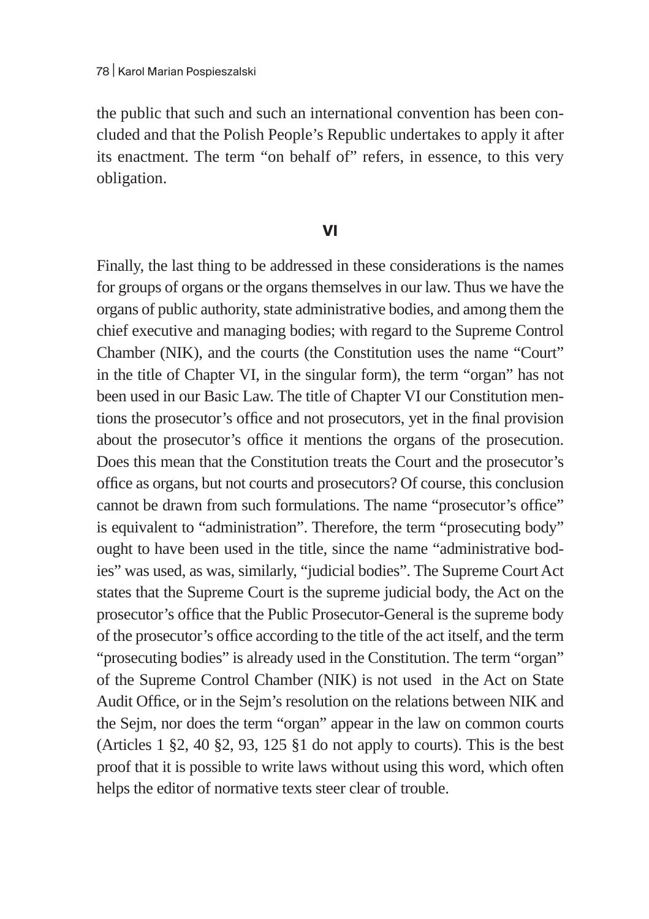the public that such and such an international convention has been concluded and that the Polish People's Republic undertakes to apply it after its enactment. The term "on behalf of" refers, in essence, to this very obligation.

## **VI**

Finally, the last thing to be addressed in these considerations is the names for groups of organs or the organs themselves in our law. Thus we have the organs of public authority, state administrative bodies, and among them the chief executive and managing bodies; with regard to the Supreme Control Chamber (NIK), and the courts (the Constitution uses the name "Court" in the title of Chapter VI, in the singular form), the term "organ" has not been used in our Basic Law. The title of Chapter VI our Constitution mentions the prosecutor's office and not prosecutors, yet in the final provision about the prosecutor's office it mentions the organs of the prosecution. Does this mean that the Constitution treats the Court and the prosecutor's office as organs, but not courts and prosecutors? Of course, this conclusion cannot be drawn from such formulations. The name "prosecutor's office" is equivalent to "administration". Therefore, the term "prosecuting body" ought to have been used in the title, since the name "administrative bodies" was used, as was, similarly, "judicial bodies". The Supreme Court Act states that the Supreme Court is the supreme judicial body, the Act on the prosecutor's office that the Public Prosecutor-General is the supreme body of the prosecutor's office according to the title of the act itself, and the term "prosecuting bodies" is already used in the Constitution. The term "organ" of the Supreme Control Chamber (NIK) is not used in the Act on State Audit Office, or in the Sejm's resolution on the relations between NIK and the Sejm, nor does the term "organ" appear in the law on common courts (Articles  $1 \xi$ ,  $2 \xi$ ,  $40 \xi$ ,  $2 \xi$ ,  $93$ ,  $125 \xi$  $1$  do not apply to courts). This is the best proof that it is possible to write laws without using this word, which often helps the editor of normative texts steer clear of trouble.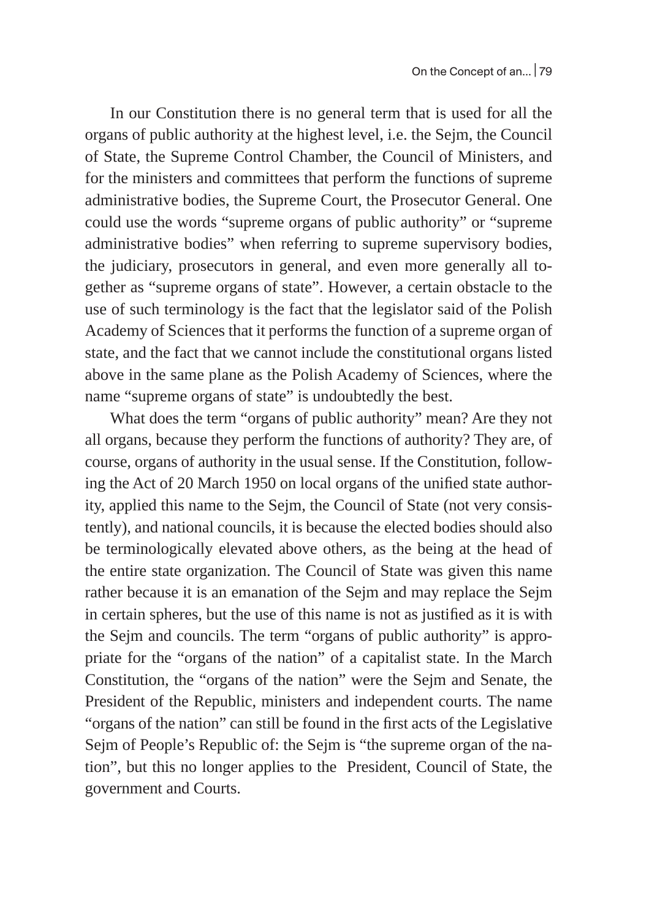In our Constitution there is no general term that is used for all the organs of public authority at the highest level, i.e. the Sejm, the Council of State, the Supreme Control Chamber, the Council of Ministers, and for the ministers and committees that perform the functions of supreme administrative bodies, the Supreme Court, the Prosecutor General. One could use the words "supreme organs of public authority" or "supreme administrative bodies" when referring to supreme supervisory bodies, the judiciary, prosecutors in general, and even more generally all together as "supreme organs of state". However, a certain obstacle to the use of such terminology is the fact that the legislator said of the Polish Academy of Sciences that it performs the function of a supreme organ of state, and the fact that we cannot include the constitutional organs listed above in the same plane as the Polish Academy of Sciences, where the name "supreme organs of state" is undoubtedly the best.

What does the term "organs of public authority" mean? Are they not all organs, because they perform the functions of authority? They are, of course, organs of authority in the usual sense. If the Constitution, following the Act of 20 March 1950 on local organs of the unified state authority, applied this name to the Sejm, the Council of State (not very consistently), and national councils, it is because the elected bodies should also be terminologically elevated above others, as the being at the head of the entire state organization. The Council of State was given this name rather because it is an emanation of the Sejm and may replace the Sejm in certain spheres, but the use of this name is not as justified as it is with the Sejm and councils. The term "organs of public authority" is appropriate for the "organs of the nation" of a capitalist state. In the March Constitution, the "organs of the nation" were the Sejm and Senate, the President of the Republic, ministers and independent courts. The name "organs of the nation" can still be found in the first acts of the Legislative Sejm of People's Republic of: the Sejm is "the supreme organ of the nation", but this no longer applies to the President, Council of State, the government and Courts.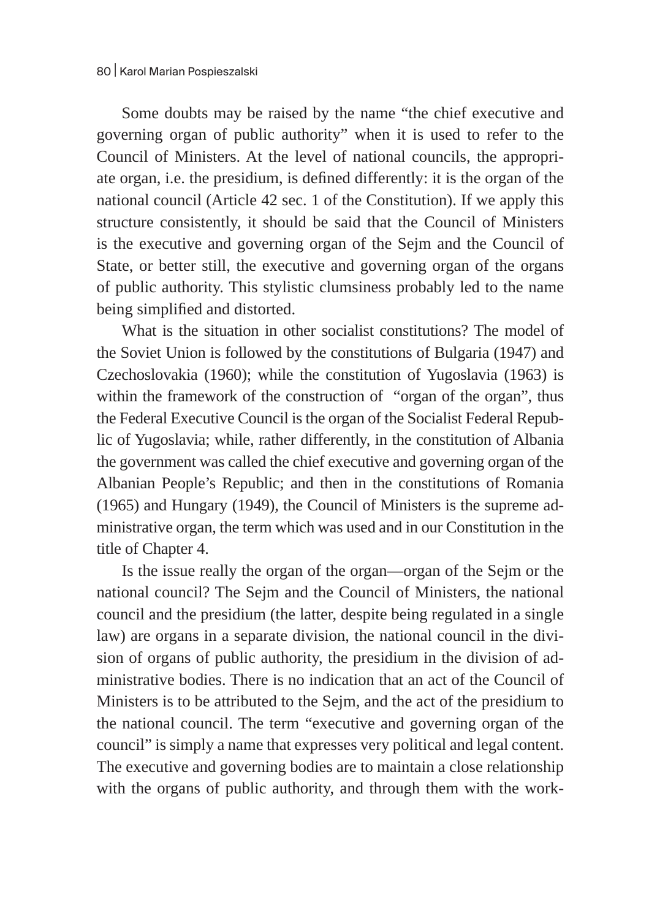Some doubts may be raised by the name "the chief executive and governing organ of public authority" when it is used to refer to the Council of Ministers. At the level of national councils, the appropriate organ, i.e. the presidium, is defined differently: it is the organ of the national council (Article 42 sec. 1 of the Constitution). If we apply this structure consistently, it should be said that the Council of Ministers is the executive and governing organ of the Sejm and the Council of State, or better still, the executive and governing organ of the organs of public authority. This stylistic clumsiness probably led to the name being simplified and distorted.

What is the situation in other socialist constitutions? The model of the Soviet Union is followed by the constitutions of Bulgaria (1947) and Czechoslovakia (1960); while the constitution of Yugoslavia (1963) is within the framework of the construction of "organ of the organ", thus the Federal Executive Council is the organ of the Socialist Federal Republic of Yugoslavia; while, rather differently, in the constitution of Albania the government was called the chief executive and governing organ of the Albanian People's Republic; and then in the constitutions of Romania (1965) and Hungary (1949), the Council of Ministers is the supreme administrative organ, the term which was used and in our Constitution in the title of Chapter 4.

Is the issue really the organ of the organ—organ of the Sejm or the national council? The Sejm and the Council of Ministers, the national council and the presidium (the latter, despite being regulated in a single law) are organs in a separate division, the national council in the division of organs of public authority, the presidium in the division of administrative bodies. There is no indication that an act of the Council of Ministers is to be attributed to the Sejm, and the act of the presidium to the national council. The term "executive and governing organ of the council" is simply a name that expresses very political and legal content. The executive and governing bodies are to maintain a close relationship with the organs of public authority, and through them with the work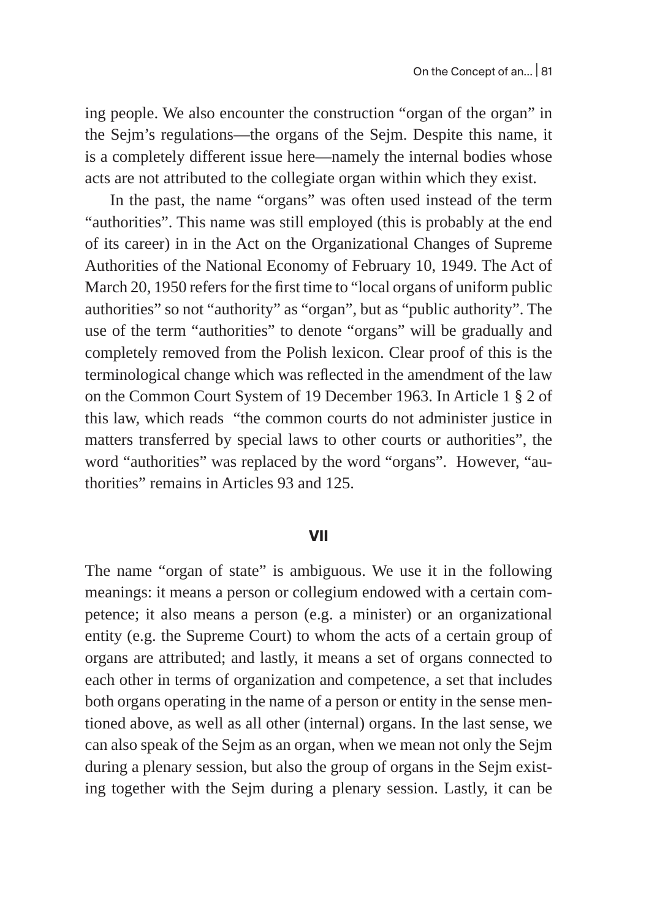ing people. We also encounter the construction "organ of the organ" in the Sejm's regulations—the organs of the Sejm. Despite this name, it is a completely different issue here—namely the internal bodies whose acts are not attributed to the collegiate organ within which they exist.

In the past, the name "organs" was often used instead of the term "authorities". This name was still employed (this is probably at the end of its career) in in the Act on the Organizational Changes of Supreme Authorities of the National Economy of February 10, 1949. The Act of March 20, 1950 refers for the first time to "local organs of uniform public authorities" so not "authority" as "organ", but as "public authority". The use of the term "authorities" to denote "organs" will be gradually and completely removed from the Polish lexicon. Clear proof of this is the terminological change which was reflected in the amendment of the law on the Common Court System of 19 December 1963. In Article 1 § 2 of this law, which reads "the common courts do not administer justice in matters transferred by special laws to other courts or authorities", the word "authorities" was replaced by the word "organs". However, "authorities" remains in Articles 93 and 125.

### **VII**

The name "organ of state" is ambiguous. We use it in the following meanings: it means a person or collegium endowed with a certain competence; it also means a person (e.g. a minister) or an organizational entity (e.g. the Supreme Court) to whom the acts of a certain group of organs are attributed; and lastly, it means a set of organs connected to each other in terms of organization and competence, a set that includes both organs operating in the name of a person or entity in the sense mentioned above, as well as all other (internal) organs. In the last sense, we can also speak of the Sejm as an organ, when we mean not only the Sejm during a plenary session, but also the group of organs in the Sejm existing together with the Sejm during a plenary session. Lastly, it can be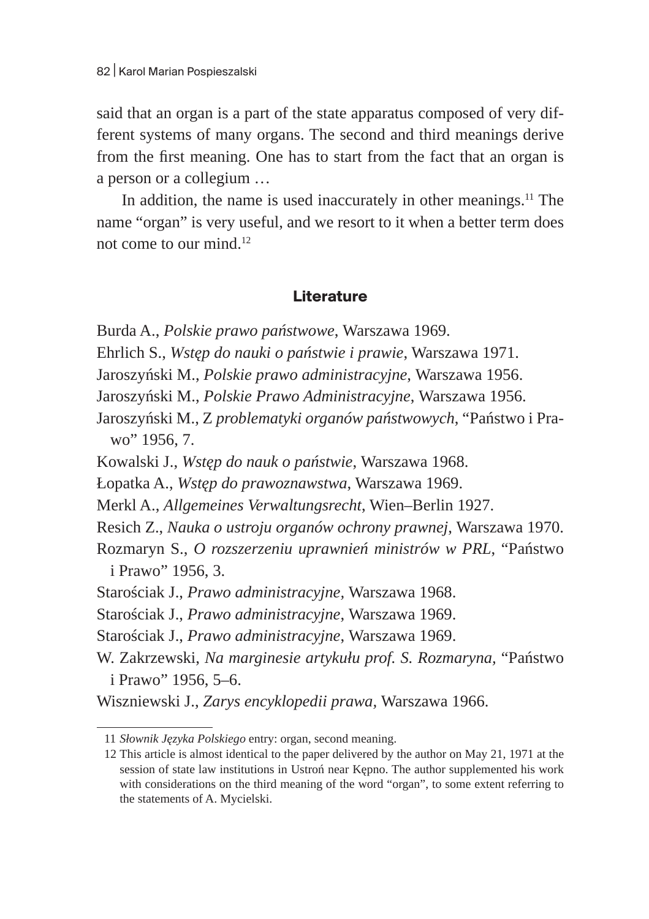said that an organ is a part of the state apparatus composed of very different systems of many organs. The second and third meanings derive from the first meaning. One has to start from the fact that an organ is a person or a collegium …

In addition, the name is used inaccurately in other meanings. $11$  The name "organ" is very useful, and we resort to it when a better term does not come to our mind. $12$ 

## **Literature**

Burda A., *Polskie prawo państwowe*, Warszawa 1969.

- Ehrlich S., *Wstęp do nauki o państwie i prawie*, Warszawa 1971.
- Jaroszyński M., *Polskie prawo administracyjne*, Warszawa 1956.
- Jaroszyński M., *Polskie Prawo Administracyjne*, Warszawa 1956.
- Jaroszyński M., Z *problematyki organów państwowych*, "Państwo i Prawo" 1956, 7.
- Kowalski J., *Wstęp do nauk o państwie*, Warszawa 1968.
- Łopatka A., *Wstęp do prawoznawstwa*, Warszawa 1969.
- Merkl A., *Allgemeines Verwaltungsrecht*, Wien–Berlin 1927.
- Resich Z., *Nauka o ustroju organów ochrony prawnej*, Warszawa 1970.

Rozmaryn S., *O rozszerzeniu uprawnień ministrów w PRL*, "Państwo i Prawo" 1956, 3.

- Starościak J., *Prawo administracyjne,* Warszawa 1968.
- Starościak J., *Prawo administracyjne*, Warszawa 1969.

Starościak J., *Prawo administracyjne*, Warszawa 1969.

W. Zakrzewski, *Na marginesie artykułu prof. S. Rozmaryna,* "Państwo i Prawo" 1956, 5–6.

Wiszniewski J., *Zarys encyklopedii prawa,* Warszawa 1966.

<sup>11</sup> *Słownik Języka Polskiego* entry: organ, second meaning.

<sup>12</sup> This article is almost identical to the paper delivered by the author on May 21, 1971 at the session of state law institutions in Ustroń near Kępno. The author supplemented his work with considerations on the third meaning of the word "organ", to some extent referring to the statements of A. Mycielski.